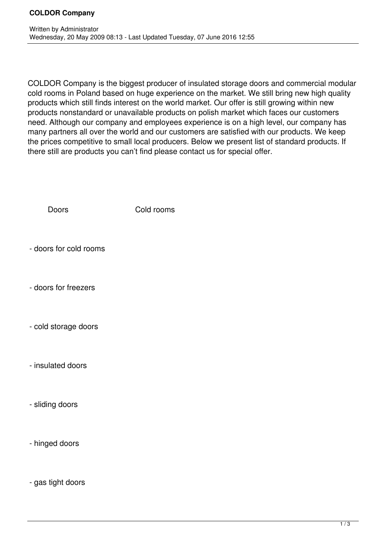COLDOR Company is the biggest producer of insulated storage doors and commercial modular cold rooms in Poland based on huge experience on the market. We still bring new high quality products which still finds interest on the world market. Our offer is still growing within new products nonstandard or unavailable products on polish market which faces our customers need. Although our company and employees experience is on a high level, our company has many partners all over the world and our customers are satisfied with our products. We keep the prices competitive to small local producers. Below we present list of standard products. If there still are products you can't find please contact us for special offer.

Doors Cold rooms

- doors for cold rooms

- doors for freezers

- cold storage doors

- insulated doors

- sliding doors

- hinged doors

- gas tight doors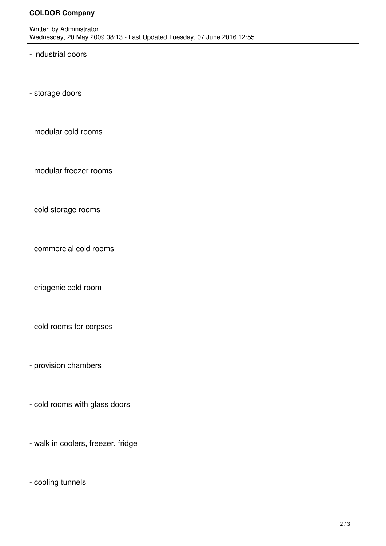## **COLDOR Company**

- industrial doors

- storage doors

- modular cold rooms
- modular freezer rooms
- cold storage rooms
- commercial cold rooms
- criogenic cold room
- cold rooms for corpses
- provision chambers
- cold rooms with glass doors
- walk in coolers, freezer, fridge
- cooling tunnels